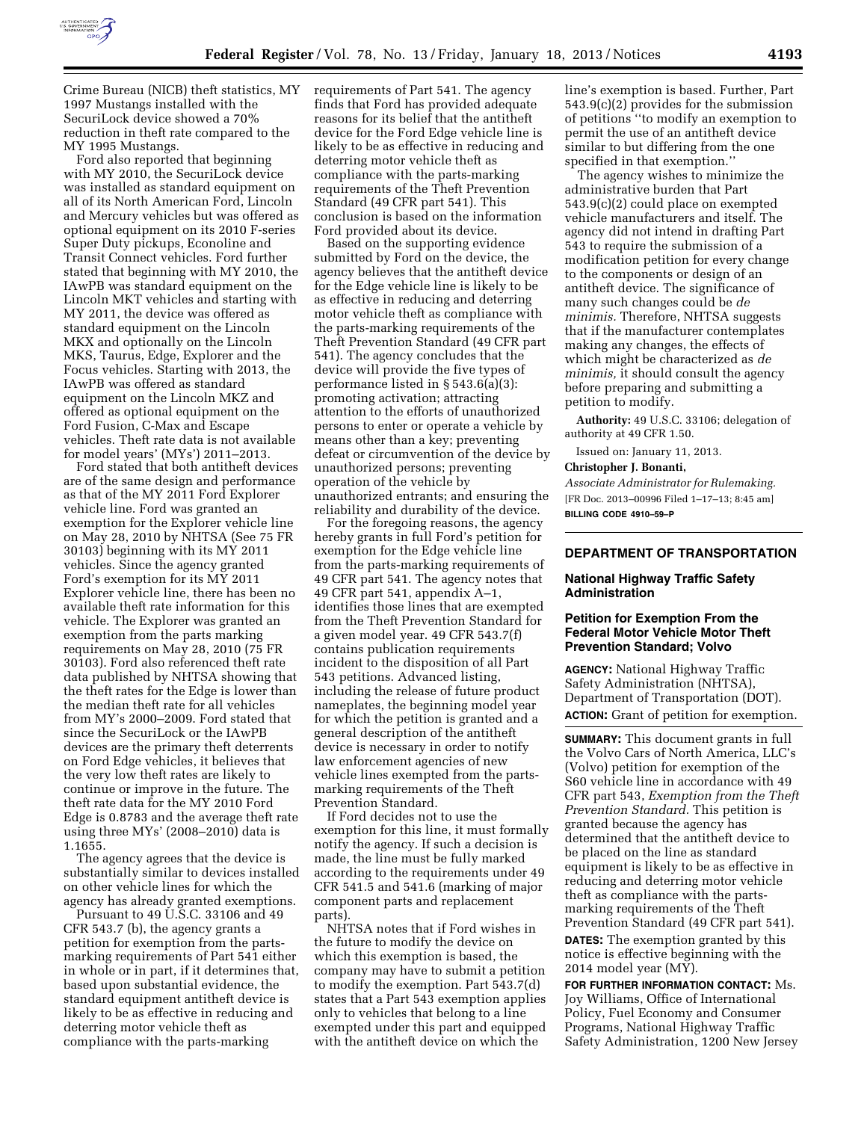

Crime Bureau (NICB) theft statistics, MY 1997 Mustangs installed with the SecuriLock device showed a 70% reduction in theft rate compared to the MY 1995 Mustangs.

Ford also reported that beginning with MY 2010, the SecuriLock device was installed as standard equipment on all of its North American Ford, Lincoln and Mercury vehicles but was offered as optional equipment on its 2010 F-series Super Duty pickups, Econoline and Transit Connect vehicles. Ford further stated that beginning with MY 2010, the IAwPB was standard equipment on the Lincoln MKT vehicles and starting with MY 2011, the device was offered as standard equipment on the Lincoln MKX and optionally on the Lincoln MKS, Taurus, Edge, Explorer and the Focus vehicles. Starting with 2013, the IAwPB was offered as standard equipment on the Lincoln MKZ and offered as optional equipment on the Ford Fusion, C-Max and Escape vehicles. Theft rate data is not available for model years' (MYs') 2011–2013.

Ford stated that both antitheft devices are of the same design and performance as that of the MY 2011 Ford Explorer vehicle line. Ford was granted an exemption for the Explorer vehicle line on May 28, 2010 by NHTSA (See 75 FR 30103) beginning with its MY 2011 vehicles. Since the agency granted Ford's exemption for its MY 2011 Explorer vehicle line, there has been no available theft rate information for this vehicle. The Explorer was granted an exemption from the parts marking requirements on May 28, 2010 (75 FR 30103). Ford also referenced theft rate data published by NHTSA showing that the theft rates for the Edge is lower than the median theft rate for all vehicles from MY's 2000–2009. Ford stated that since the SecuriLock or the IAwPB devices are the primary theft deterrents on Ford Edge vehicles, it believes that the very low theft rates are likely to continue or improve in the future. The theft rate data for the MY 2010 Ford Edge is 0.8783 and the average theft rate using three MYs' (2008–2010) data is 1.1655.

The agency agrees that the device is substantially similar to devices installed on other vehicle lines for which the agency has already granted exemptions.

Pursuant to 49 U.S.C. 33106 and 49 CFR 543.7 (b), the agency grants a petition for exemption from the partsmarking requirements of Part 541 either in whole or in part, if it determines that, based upon substantial evidence, the standard equipment antitheft device is likely to be as effective in reducing and deterring motor vehicle theft as compliance with the parts-marking

requirements of Part 541. The agency finds that Ford has provided adequate reasons for its belief that the antitheft device for the Ford Edge vehicle line is likely to be as effective in reducing and deterring motor vehicle theft as compliance with the parts-marking requirements of the Theft Prevention Standard (49 CFR part 541). This conclusion is based on the information Ford provided about its device.

Based on the supporting evidence submitted by Ford on the device, the agency believes that the antitheft device for the Edge vehicle line is likely to be as effective in reducing and deterring motor vehicle theft as compliance with the parts-marking requirements of the Theft Prevention Standard (49 CFR part 541). The agency concludes that the device will provide the five types of performance listed in § 543.6(a)(3): promoting activation; attracting attention to the efforts of unauthorized persons to enter or operate a vehicle by means other than a key; preventing defeat or circumvention of the device by unauthorized persons; preventing operation of the vehicle by unauthorized entrants; and ensuring the reliability and durability of the device.

For the foregoing reasons, the agency hereby grants in full Ford's petition for exemption for the Edge vehicle line from the parts-marking requirements of 49 CFR part 541. The agency notes that 49 CFR part 541, appendix A–1, identifies those lines that are exempted from the Theft Prevention Standard for a given model year. 49 CFR 543.7(f) contains publication requirements incident to the disposition of all Part 543 petitions. Advanced listing, including the release of future product nameplates, the beginning model year for which the petition is granted and a general description of the antitheft device is necessary in order to notify law enforcement agencies of new vehicle lines exempted from the partsmarking requirements of the Theft Prevention Standard.

If Ford decides not to use the exemption for this line, it must formally notify the agency. If such a decision is made, the line must be fully marked according to the requirements under 49 CFR 541.5 and 541.6 (marking of major component parts and replacement parts).

NHTSA notes that if Ford wishes in the future to modify the device on which this exemption is based, the company may have to submit a petition to modify the exemption. Part 543.7(d) states that a Part 543 exemption applies only to vehicles that belong to a line exempted under this part and equipped with the antitheft device on which the

line's exemption is based. Further, Part 543.9(c)(2) provides for the submission of petitions ''to modify an exemption to permit the use of an antitheft device similar to but differing from the one specified in that exemption.''

The agency wishes to minimize the administrative burden that Part 543.9(c)(2) could place on exempted vehicle manufacturers and itself. The agency did not intend in drafting Part 543 to require the submission of a modification petition for every change to the components or design of an antitheft device. The significance of many such changes could be *de minimis.* Therefore, NHTSA suggests that if the manufacturer contemplates making any changes, the effects of which might be characterized as *de minimis,* it should consult the agency before preparing and submitting a petition to modify.

**Authority:** 49 U.S.C. 33106; delegation of authority at 49 CFR 1.50.

Issued on: January 11, 2013.

#### **Christopher J. Bonanti,**

*Associate Administrator for Rulemaking.*  [FR Doc. 2013–00996 Filed 1–17–13; 8:45 am] **BILLING CODE 4910–59–P** 

# **DEPARTMENT OF TRANSPORTATION**

## **National Highway Traffic Safety Administration**

## **Petition for Exemption From the Federal Motor Vehicle Motor Theft Prevention Standard; Volvo**

**AGENCY:** National Highway Traffic Safety Administration (NHTSA), Department of Transportation (DOT). **ACTION:** Grant of petition for exemption.

**SUMMARY:** This document grants in full the Volvo Cars of North America, LLC's (Volvo) petition for exemption of the S60 vehicle line in accordance with 49 CFR part 543, *Exemption from the Theft Prevention Standard.* This petition is granted because the agency has determined that the antitheft device to be placed on the line as standard equipment is likely to be as effective in reducing and deterring motor vehicle theft as compliance with the partsmarking requirements of the Theft Prevention Standard (49 CFR part 541). **DATES:** The exemption granted by this notice is effective beginning with the 2014 model year (MY).

**FOR FURTHER INFORMATION CONTACT:** Ms. Joy Williams, Office of International Policy, Fuel Economy and Consumer Programs, National Highway Traffic Safety Administration, 1200 New Jersey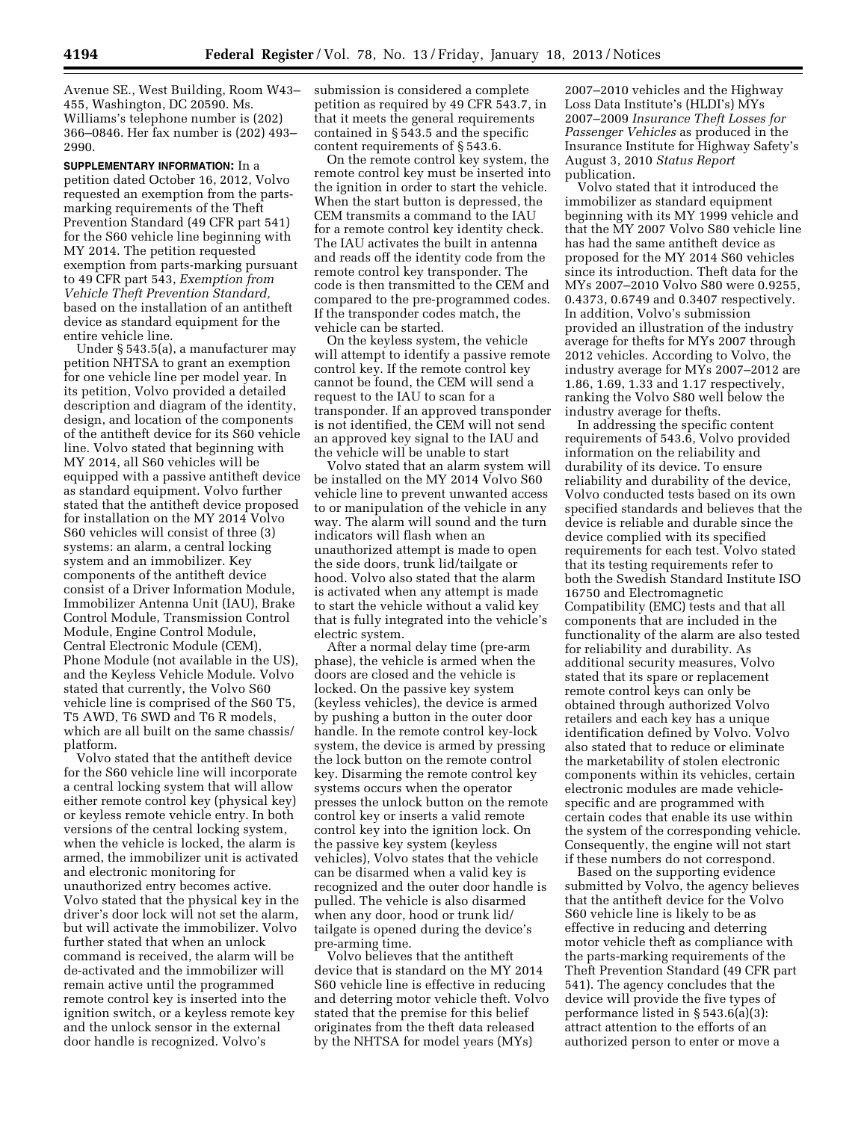Avenue SE., West Building, Room W43– 455, Washington, DC 20590. Ms. Williams's telephone number is (202) 366–0846. Her fax number is (202) 493– 2990.

**SUPPLEMENTARY INFORMATION:** In a petition dated October 16, 2012, Volvo requested an exemption from the partsmarking requirements of the Theft Prevention Standard (49 CFR part 541) for the S60 vehicle line beginning with MY 2014. The petition requested exemption from parts-marking pursuant to 49 CFR part 543, *Exemption from Vehicle Theft Prevention Standard,*  based on the installation of an antitheft device as standard equipment for the entire vehicle line.

Under § 543.5(a), a manufacturer may petition NHTSA to grant an exemption for one vehicle line per model year. In its petition, Volvo provided a detailed description and diagram of the identity, design, and location of the components of the antitheft device for its S60 vehicle line. Volvo stated that beginning with MY 2014, all S60 vehicles will be equipped with a passive antitheft device as standard equipment. Volvo further stated that the antitheft device proposed for installation on the MY 2014 Volvo S60 vehicles will consist of three (3) systems: an alarm, a central locking system and an immobilizer. Key components of the antitheft device consist of a Driver Information Module, Immobilizer Antenna Unit (IAU), Brake Control Module, Transmission Control Module, Engine Control Module, Central Electronic Module (CEM), Phone Module (not available in the US), and the Keyless Vehicle Module. Volvo stated that currently, the Volvo S60 vehicle line is comprised of the S60 T5, T5 AWD, T6 SWD and T6 R models, which are all built on the same chassis/ platform.

Volvo stated that the antitheft device for the S60 vehicle line will incorporate a central locking system that will allow either remote control key (physical key) or keyless remote vehicle entry. In both versions of the central locking system, when the vehicle is locked, the alarm is armed, the immobilizer unit is activated and electronic monitoring for unauthorized entry becomes active. Volvo stated that the physical key in the driver's door lock will not set the alarm, but will activate the immobilizer. Volvo further stated that when an unlock command is received, the alarm will be de-activated and the immobilizer will remain active until the programmed remote control key is inserted into the ignition switch, or a keyless remote key and the unlock sensor in the external door handle is recognized. Volvo's

submission is considered a complete petition as required by 49 CFR 543.7, in that it meets the general requirements contained in § 543.5 and the specific content requirements of § 543.6.

On the remote control key system, the remote control key must be inserted into the ignition in order to start the vehicle. When the start button is depressed, the CEM transmits a command to the IAU for a remote control key identity check. The IAU activates the built in antenna and reads off the identity code from the remote control key transponder. The code is then transmitted to the CEM and compared to the pre-programmed codes. If the transponder codes match, the vehicle can be started.

On the keyless system, the vehicle will attempt to identify a passive remote control key. If the remote control key cannot be found, the CEM will send a request to the IAU to scan for a transponder. If an approved transponder is not identified, the CEM will not send an approved key signal to the IAU and the vehicle will be unable to start

Volvo stated that an alarm system will be installed on the MY 2014 Volvo S60 vehicle line to prevent unwanted access to or manipulation of the vehicle in any way. The alarm will sound and the turn indicators will flash when an unauthorized attempt is made to open the side doors, trunk lid/tailgate or hood. Volvo also stated that the alarm is activated when any attempt is made to start the vehicle without a valid key that is fully integrated into the vehicle's electric system.

After a normal delay time (pre-arm phase), the vehicle is armed when the doors are closed and the vehicle is locked. On the passive key system (keyless vehicles), the device is armed by pushing a button in the outer door handle. In the remote control key-lock system, the device is armed by pressing the lock button on the remote control key. Disarming the remote control key systems occurs when the operator presses the unlock button on the remote control key or inserts a valid remote control key into the ignition lock. On the passive key system (keyless vehicles), Volvo states that the vehicle can be disarmed when a valid key is recognized and the outer door handle is pulled. The vehicle is also disarmed when any door, hood or trunk lid/ tailgate is opened during the device's pre-arming time.

Volvo believes that the antitheft device that is standard on the MY 2014 S60 vehicle line is effective in reducing and deterring motor vehicle theft. Volvo stated that the premise for this belief originates from the theft data released by the NHTSA for model years (MYs)

2007–2010 vehicles and the Highway Loss Data Institute's (HLDI's) MYs 2007–2009 *Insurance Theft Losses for Passenger Vehicles* as produced in the Insurance Institute for Highway Safety's August 3, 2010 *Status Report*  publication.

Volvo stated that it introduced the immobilizer as standard equipment beginning with its MY 1999 vehicle and that the MY 2007 Volvo S80 vehicle line has had the same antitheft device as proposed for the MY 2014 S60 vehicles since its introduction. Theft data for the MYs 2007–2010 Volvo S80 were 0.9255, 0.4373, 0.6749 and 0.3407 respectively. In addition, Volvo's submission provided an illustration of the industry average for thefts for MYs 2007 through 2012 vehicles. According to Volvo, the industry average for MYs 2007–2012 are 1.86, 1.69, 1.33 and 1.17 respectively, ranking the Volvo S80 well below the industry average for thefts.

In addressing the specific content requirements of 543.6, Volvo provided information on the reliability and durability of its device. To ensure reliability and durability of the device, Volvo conducted tests based on its own specified standards and believes that the device is reliable and durable since the device complied with its specified requirements for each test. Volvo stated that its testing requirements refer to both the Swedish Standard Institute ISO 16750 and Electromagnetic Compatibility (EMC) tests and that all components that are included in the functionality of the alarm are also tested for reliability and durability. As additional security measures, Volvo stated that its spare or replacement remote control keys can only be obtained through authorized Volvo retailers and each key has a unique identification defined by Volvo. Volvo also stated that to reduce or eliminate the marketability of stolen electronic components within its vehicles, certain electronic modules are made vehiclespecific and are programmed with certain codes that enable its use within the system of the corresponding vehicle. Consequently, the engine will not start if these numbers do not correspond.

Based on the supporting evidence submitted by Volvo, the agency believes that the antitheft device for the Volvo S60 vehicle line is likely to be as effective in reducing and deterring motor vehicle theft as compliance with the parts-marking requirements of the Theft Prevention Standard (49 CFR part 541). The agency concludes that the device will provide the five types of performance listed in § 543.6(a)(3): attract attention to the efforts of an authorized person to enter or move a